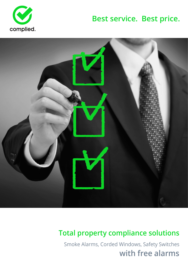

# **Best service. Best price.**



## **Total property compliance solutions**

Smoke Alarms, Corded Windows, Safety Switches **with free alarms**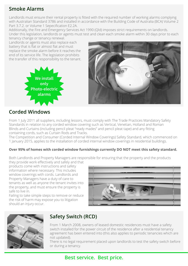#### **Smoke Alarms**

Landlords must ensure their rental property is fitted with the required number of working alarms complying with Australian Standard 3786 and installed in accordance with the Building Code of Australia (BCA) Volume 2 Part 3.7.2. or Volume 1 Sepecification E2.2A.

Additionally, the Fire and Emergency Services Act 1990 (Qld) imposes strict requirements on landlords. Under this legislation, landlords or agents must test and clean each smoke alarm within 30 days prior to each tenancy change or tenancy renewal.

Landlords or agents must also replace each battery that is flat or almost flat and must replace the smoke alarm before it reaches the end of its service life. The legislation prohibits the transfer of this responsibility to the tenant.



#### **Corded Windows**

From 1 July 2011 all suppliers, including lessors, must comply with The Trade Practices Mandatory Safety Standards in relation to any corded window covering such as Vertical, Venetian, Holland and Roman Blinds and Curtains (including pencil pleat "ready mades" and pencil pleat tape) and any fitting containing cords, such as Curtain Rods and Tracks.

The Competition and Consumer (Corded Internal Window Coverings) Safety Standard, which commenced on 1 January 2015, applies to the installation of corded internal window coverings in residential buildings.

#### **Over 95% of homes with corded window furnishings currently DO NOT meet this safety standard.**

Both Landlords and Property Managers are responsible for ensuring that the property and the products

they provide work effectively and safely and that products come with instructions and safety information where necessary. This includes window coverings with cords. Landlords and Property Managers have a duty of care to tenants as well as anyone the tenant invites into the property, and must ensure the property is safe to live in.

Failing to take simple steps to remove or reduce the risk of harm may expose you to litigation should an injury occur.





#### **Safety Switch (RCD)**

From 1 March 2008, owners of leased domestic residences must have a safety switch installed for the power circuit of the residence after a residential tenancy agreement has been entered into (this also applies to periodic tenancies which are not updated).

There is no legal requirement placed upon landlords to test the safety switch before or during a tenancy.

#### **Best service. Best price.**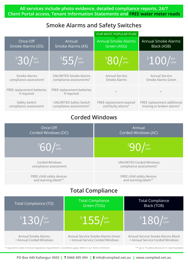**All services include photo evidence, detailed compliance reports, 24/7 Client Portal access, Tenant Information Statements and FREE water meter reads**

#### **Smoke Alarms and Safety Switches**

|                                           |                                           | <b>OUR MOST POPULAR PLAN</b>               |                             |  |
|-------------------------------------------|-------------------------------------------|--------------------------------------------|-----------------------------|--|
| Once-Off                                  | Annual                                    | <b>Annual Smoke Alarms</b>                 | <b>Annual Smoke Alarms</b>  |  |
| Smoke Alarms (OS)                         | Smoke Alarms (AS)                         | Green (ASG)                                | Black (ASB)                 |  |
| $\frac{1}{3}30/1$ <sup>per</sup>          | <sup>S</sup> 55<br>per<br>year            | ${}^{\mathfrak s}80$<br>$\int$ per<br>year | $\frac{15}{100}$ / year     |  |
| Smoke Alarms                              | <b>UNLIMITED Smoke Alarms</b>             | <b>Annual Service</b>                      | <b>Annual Service</b>       |  |
| compliance assessment                     | compliance assessments*                   | Smoke Alarms                               | Smoke Alarms Green          |  |
| FREE replacement batteries<br>if required | FREE replacement batteries<br>if required | $^{+}$                                     | $^{+}$                      |  |
| Safety Switch                             | <b>UNLIMITED Safety Switch</b>            | FREE replacement expired                   | FREE replacement additional |  |
| compliance assessment                     | compliance assessments*                   | and faulty alarms*                         | missing or broken alarms*   |  |

#### **Corded Windows**

| Once-Off<br>Corded Windows (OC)                       |                                        | Annual<br>Corded Windows (AC)                                        |                                                                      |  |  |  |  |
|-------------------------------------------------------|----------------------------------------|----------------------------------------------------------------------|----------------------------------------------------------------------|--|--|--|--|
| $\sqrt[5]{60}$ /visit                                 |                                        |                                                                      |                                                                      |  |  |  |  |
| Corded Windows<br>compliance assessment               |                                        | <b>UNLIMITED Corded Windows</b><br>compliance assessments*           |                                                                      |  |  |  |  |
| FREE child safety devices<br>and warning labels**     |                                        | FREE child safety devices<br>and warning labels**                    |                                                                      |  |  |  |  |
| <b>Total Compliance</b>                               |                                        |                                                                      |                                                                      |  |  |  |  |
| Total Compliance (TO)                                 | <b>Total Compliance</b><br>Green (TOG) |                                                                      | <b>Total Compliance</b><br>Black (TOB)                               |  |  |  |  |
| $\frac{1}{30}$ / year                                 |                                        | $\frac{\text{S}}{2}$ 55/year                                         | $\frac{180}{\mathrm{year}}$                                          |  |  |  |  |
| <b>Annual Smoke Alarms</b><br>+ Annual Corded Windows |                                        | Annual Service Smoke Alarms Green<br>+ Annual Service Corded Windows | Annual Service Smoke Alarms Black<br>+ Annual Service Corded Windows |  |  |  |  |

\* required to meet minimum legislative requirements. Conditions apply. Refer to our Terms of Service.

\*\* up to 15 safety devices & 15 warning labels